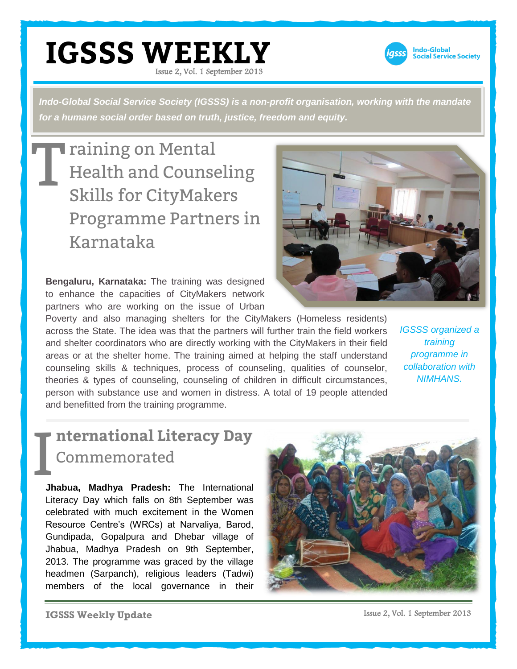

*Indo-Global Social Service Society (IGSSS) is a non-profit organisation, working with the mandate for a humane social order based on truth, justice, freedom and equity.* 

T raining on Mental Health and Counseling Skills for CityMakers Programme Partners in Karnataka

**Bengaluru, Karnataka:** The training was designed to enhance the capacities of CityMakers network partners who are working on the issue of Urban

Poverty and also managing shelters for the CityMakers (Homeless residents) across the State. The idea was that the partners will further train the field workers and shelter coordinators who are directly working with the CityMakers in their field areas or at the shelter home. The training aimed at helping the staff understand counseling skills & techniques, process of counseling, qualities of counselor, theories & types of counseling, counseling of children in difficult circumstances, person with substance use and women in distress. A total of 19 people attended and benefitted from the training programme.

*IGSSS organized a training programme in collaboration with NIMHANS.*

## I **nternational Literacy Day** Commemorated

**Jhabua, Madhya Pradesh:** The International Literacy Day which falls on 8th September was celebrated with much excitement in the Women Resource Centre's (WRCs) at Narvaliya, Barod, Gundipada, Gopalpura and Dhebar village of Jhabua, Madhya Pradesh on 9th September, 2013. The programme was graced by the village headmen (Sarpanch), religious leaders (Tadwi) members of the local governance in their





**IGSSS Weekly Update**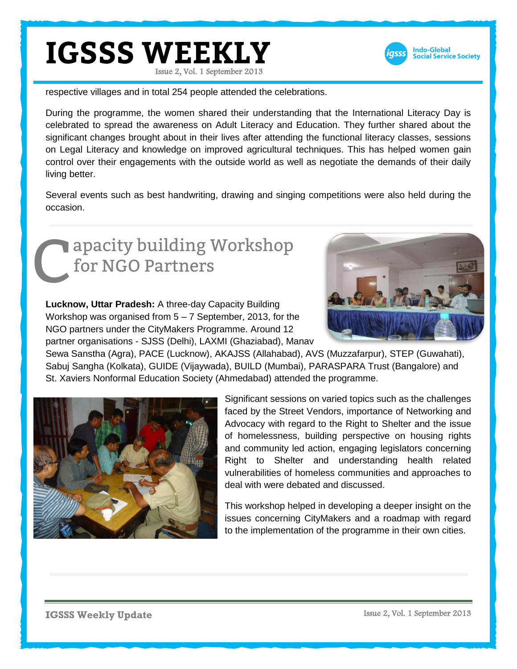

respective villages and in total 254 people attended the celebrations.

During the programme, the women shared their understanding that the International Literacy Day is celebrated to spread the awareness on Adult Literacy and Education. They further shared about the significant changes brought about in their lives after attending the functional literacy classes, sessions on Legal Literacy and knowledge on improved agricultural techniques. This has helped women gain control over their engagements with the outside world as well as negotiate the demands of their daily living better.

Several events such as best handwriting, drawing and singing competitions were also held during the occasion.

## apacity building Workshop for NGO Partners C



**Lucknow, Uttar Pradesh:** A three-day Capacity Building Workshop was organised from 5 – 7 September, 2013, for the NGO partners under the CityMakers Programme. Around 12 partner organisations - SJSS (Delhi), LAXMI (Ghaziabad), Manav

Sewa Sanstha (Agra), PACE (Lucknow), AKAJSS (Allahabad), AVS (Muzzafarpur), STEP (Guwahati), Sabuj Sangha (Kolkata), GUIDE (Vijaywada), BUILD (Mumbai), PARASPARA Trust (Bangalore) and St. Xaviers Nonformal Education Society (Ahmedabad) attended the programme.



Significant sessions on varied topics such as the challenges faced by the Street Vendors, importance of Networking and Advocacy with regard to the Right to Shelter and the issue of homelessness, building perspective on housing rights and community led action, engaging legislators concerning Right to Shelter and understanding health related vulnerabilities of homeless communities and approaches to deal with were debated and discussed.

This workshop helped in developing a deeper insight on the issues concerning CityMakers and a roadmap with regard to the implementation of the programme in their own cities.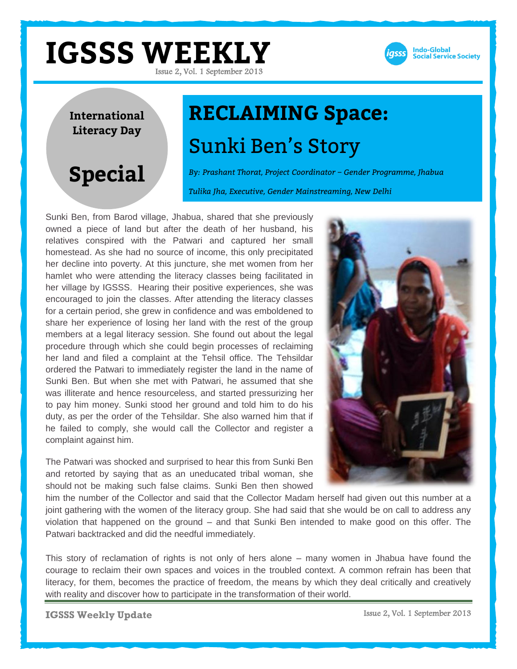

**International Literacy Day**

# **RECLAIMING Space:** Sunki Ben's Story

**Special**

*By: Prashant Thorat, Project Coordinator – Gender Programme, Jhabua Tulika Jha, Executive, Gender Mainstreaming, New Delhi*

Sunki Ben, from Barod village, Jhabua, shared that she previously owned a piece of land but after the death of her husband, his relatives conspired with the Patwari and captured her small homestead. As she had no source of income, this only precipitated her decline into poverty. At this juncture, she met women from her hamlet who were attending the literacy classes being facilitated in her village by IGSSS. Hearing their positive experiences, she was encouraged to join the classes. After attending the literacy classes for a certain period, she grew in confidence and was emboldened to share her experience of losing her land with the rest of the group members at a legal literacy session. She found out about the legal procedure through which she could begin processes of reclaiming her land and filed a complaint at the Tehsil office. The Tehsildar ordered the Patwari to immediately register the land in the name of Sunki Ben. But when she met with Patwari, he assumed that she was illiterate and hence resourceless, and started pressurizing her to pay him money. Sunki stood her ground and told him to do his duty, as per the order of the Tehsildar. She also warned him that if he failed to comply, she would call the Collector and register a complaint against him.

The Patwari was shocked and surprised to hear this from Sunki Ben and retorted by saying that as an uneducated tribal woman, she should not be making such false claims. Sunki Ben then showed



him the number of the Collector and said that the Collector Madam herself had given out this number at a joint gathering with the women of the literacy group. She had said that she would be on call to address any violation that happened on the ground – and that Sunki Ben intended to make good on this offer. The Patwari backtracked and did the needful immediately.

This story of reclamation of rights is not only of hers alone – many women in Jhabua have found the courage to reclaim their own spaces and voices in the troubled context. A common refrain has been that literacy, for them, becomes the practice of freedom, the means by which they deal critically and creatively with reality and discover how to participate in the transformation of their world.

**IGSSS Weekly Update**